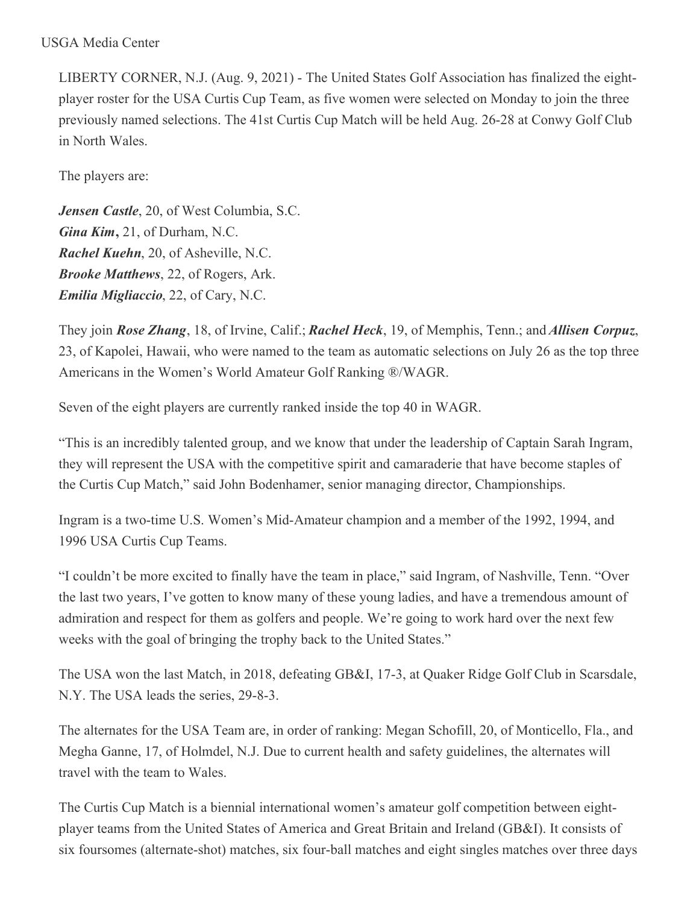## USGA Media Center

LIBERTY CORNER, N.J. (Aug. 9, 2021) - The United States Golf Association has finalized the eightplayer roster for the USA Curtis Cup Team, as five women were selected on Monday to join the three previously named selections. The 41st Curtis Cup Match will be held Aug. 26-28 at Conwy Golf Club in North Wales.

The players are:

*Jensen Castle*, 20, of West Columbia, S.C. *Gina Kim***,** 21, of Durham, N.C. *Rachel Kuehn*, 20, of Asheville, N.C. *Brooke Matthews*, 22, of Rogers, Ark. *Emilia Migliaccio*, 22, of Cary, N.C.

They join *Rose Zhang*, 18, of Irvine, Calif.; *Rachel Heck*, 19, of Memphis, Tenn.; and *Allisen Corpuz*, 23, of Kapolei, Hawaii, who were named to the team as automatic selections on July 26 as the top three Americans in the Women's World Amateur Golf Ranking ®/WAGR.

Seven of the eight players are currently ranked inside the top 40 in WAGR.

"This is an incredibly talented group, and we know that under the leadership of Captain Sarah Ingram, they will represent the USA with the competitive spirit and camaraderie that have become staples of the Curtis Cup Match," said John Bodenhamer, senior managing director, Championships.

Ingram is a two-time U.S. Women's Mid-Amateur champion and a member of the 1992, 1994, and 1996 USA Curtis Cup Teams.

"I couldn't be more excited to finally have the team in place," said Ingram, of Nashville, Tenn. "Over the last two years, I've gotten to know many of these young ladies, and have a tremendous amount of admiration and respect for them as golfers and people. We're going to work hard over the next few weeks with the goal of bringing the trophy back to the United States."

The USA won the last Match, in 2018, defeating GB&I, 17-3, at Quaker Ridge Golf Club in Scarsdale, N.Y. The USA leads the series, 29-8-3.

The alternates for the USA Team are, in order of ranking: Megan Schofill, 20, of Monticello, Fla., and Megha Ganne, 17, of Holmdel, N.J. Due to current health and safety guidelines, the alternates will travel with the team to Wales.

The Curtis Cup Match is a biennial international women's amateur golf competition between eightplayer teams from the United States of America and Great Britain and Ireland (GB&I). It consists of six foursomes (alternate-shot) matches, six four-ball matches and eight singles matches over three days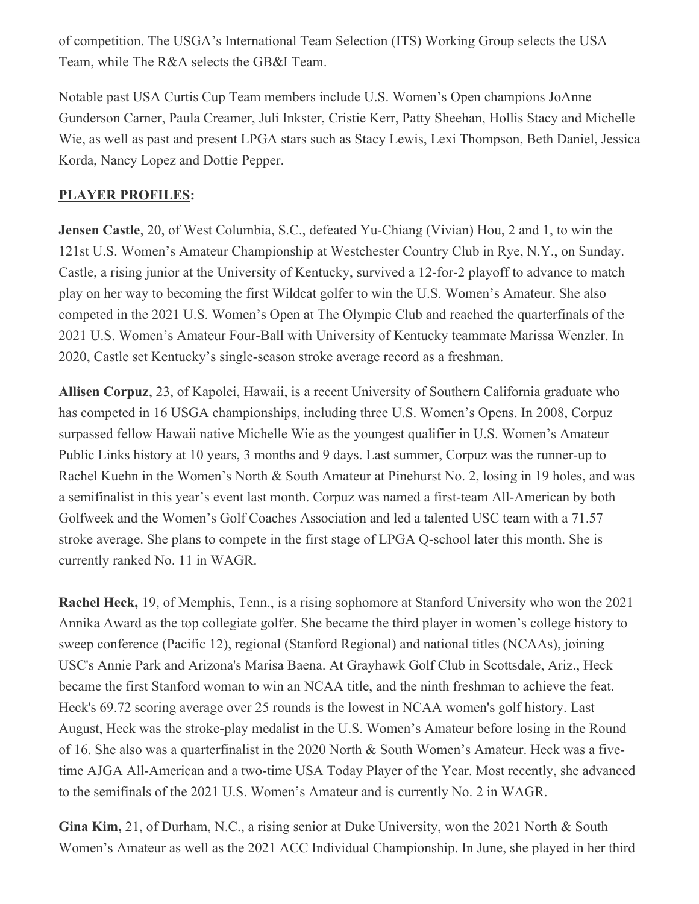of competition. The USGA's International Team Selection (ITS) Working Group selects the USA Team, while The R&A selects the GB&I Team.

Notable past USA Curtis Cup Team members include U.S. Women's Open champions JoAnne Gunderson Carner, Paula Creamer, Juli Inkster, Cristie Kerr, Patty Sheehan, Hollis Stacy and Michelle Wie, as well as past and present LPGA stars such as Stacy Lewis, Lexi Thompson, Beth Daniel, Jessica Korda, Nancy Lopez and Dottie Pepper.

## **PLAYER PROFILES:**

**Jensen Castle**, 20, of West Columbia, S.C., defeated Yu-Chiang (Vivian) Hou, 2 and 1, to win the 121st U.S. Women's Amateur Championship at Westchester Country Club in Rye, N.Y., on Sunday. Castle, a rising junior at the University of Kentucky, survived a 12-for-2 playoff to advance to match play on her way to becoming the first Wildcat golfer to win the U.S. Women's Amateur. She also competed in the 2021 U.S. Women's Open at The Olympic Club and reached the quarterfinals of the 2021 U.S. Women's Amateur Four-Ball with University of Kentucky teammate Marissa Wenzler. In 2020, Castle set Kentucky's single-season stroke average record as a freshman.

**Allisen Corpuz**, 23, of Kapolei, Hawaii, is a recent University of Southern California graduate who has competed in 16 USGA championships, including three U.S. Women's Opens. In 2008, Corpuz surpassed fellow Hawaii native Michelle Wie as the youngest qualifier in U.S. Women's Amateur Public Links history at 10 years, 3 months and 9 days. Last summer, Corpuz was the runner-up to Rachel Kuehn in the Women's North & South Amateur at Pinehurst No. 2, losing in 19 holes, and was a semifinalist in this year's event last month. Corpuz was named a first-team All-American by both Golfweek and the Women's Golf Coaches Association and led a talented USC team with a 71.57 stroke average. She plans to compete in the first stage of LPGA Q-school later this month. She is currently ranked No. 11 in WAGR.

**Rachel Heck,** 19, of Memphis, Tenn., is a rising sophomore at Stanford University who won the 2021 Annika Award as the top collegiate golfer. She became the third player in women's college history to sweep conference (Pacific 12), regional (Stanford Regional) and national titles (NCAAs), joining USC's Annie Park and Arizona's Marisa Baena. At Grayhawk Golf Club in Scottsdale, Ariz., Heck became the first Stanford woman to win an NCAA title, and the ninth freshman to achieve the feat. Heck's 69.72 scoring average over 25 rounds is the lowest in NCAA women's golf history. Last August, Heck was the stroke-play medalist in the U.S. Women's Amateur before losing in the Round of 16. She also was a quarterfinalist in the 2020 North & South Women's Amateur. Heck was a fivetime AJGA All-American and a two-time USA Today Player of the Year. Most recently, she advanced to the semifinals of the 2021 U.S. Women's Amateur and is currently No. 2 in WAGR.

**Gina Kim,** 21, of Durham, N.C., a rising senior at Duke University, won the 2021 North & South Women's Amateur as well as the 2021 ACC Individual Championship. In June, she played in her third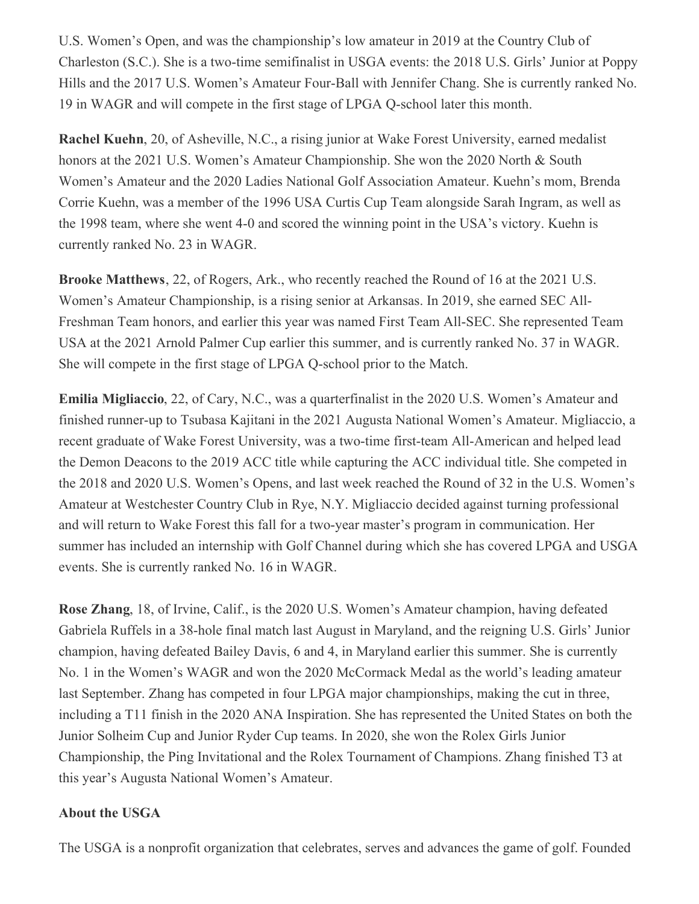U.S. Women's Open, and was the championship's low amateur in 2019 at the Country Club of Charleston (S.C.). She is a two-time semifinalist in USGA events: the 2018 U.S. Girls' Junior at Poppy Hills and the 2017 U.S. Women's Amateur Four-Ball with Jennifer Chang. She is currently ranked No. 19 in WAGR and will compete in the first stage of LPGA Q-school later this month.

**Rachel Kuehn**, 20, of Asheville, N.C., a rising junior at Wake Forest University, earned medalist honors at the 2021 U.S. Women's Amateur Championship. She won the 2020 North & South Women's Amateur and the 2020 Ladies National Golf Association Amateur. Kuehn's mom, Brenda Corrie Kuehn, was a member of the 1996 USA Curtis Cup Team alongside Sarah Ingram, as well as the 1998 team, where she went 4-0 and scored the winning point in the USA's victory. Kuehn is currently ranked No. 23 in WAGR.

**Brooke Matthews**, 22, of Rogers, Ark., who recently reached the Round of 16 at the 2021 U.S. Women's Amateur Championship, is a rising senior at Arkansas. In 2019, she earned SEC All-Freshman Team honors, and earlier this year was named First Team All-SEC. She represented Team USA at the 2021 Arnold Palmer Cup earlier this summer, and is currently ranked No. 37 in WAGR. She will compete in the first stage of LPGA Q-school prior to the Match.

**Emilia Migliaccio**, 22, of Cary, N.C., was a quarterfinalist in the 2020 U.S. Women's Amateur and finished runner-up to Tsubasa Kajitani in the 2021 Augusta National Women's Amateur. Migliaccio, a recent graduate of Wake Forest University, was a two-time first-team All-American and helped lead the Demon Deacons to the 2019 ACC title while capturing the ACC individual title. She competed in the 2018 and 2020 U.S. Women's Opens, and last week reached the Round of 32 in the U.S. Women's Amateur at Westchester Country Club in Rye, N.Y. Migliaccio decided against turning professional and will return to Wake Forest this fall for a two-year master's program in communication. Her summer has included an internship with Golf Channel during which she has covered LPGA and USGA events. She is currently ranked No. 16 in WAGR.

**Rose Zhang**, 18, of Irvine, Calif., is the 2020 U.S. Women's Amateur champion, having defeated Gabriela Ruffels in a 38-hole final match last August in Maryland, and the reigning U.S. Girls' Junior champion, having defeated Bailey Davis, 6 and 4, in Maryland earlier this summer. She is currently No. 1 in the Women's WAGR and won the 2020 McCormack Medal as the world's leading amateur last September. Zhang has competed in four LPGA major championships, making the cut in three, including a T11 finish in the 2020 ANA Inspiration. She has represented the United States on both the Junior Solheim Cup and Junior Ryder Cup teams. In 2020, she won the Rolex Girls Junior Championship, the Ping Invitational and the Rolex Tournament of Champions. Zhang finished T3 at this year's Augusta National Women's Amateur.

## **About the USGA**

The USGA is a nonprofit organization that celebrates, serves and advances the game of golf. Founded